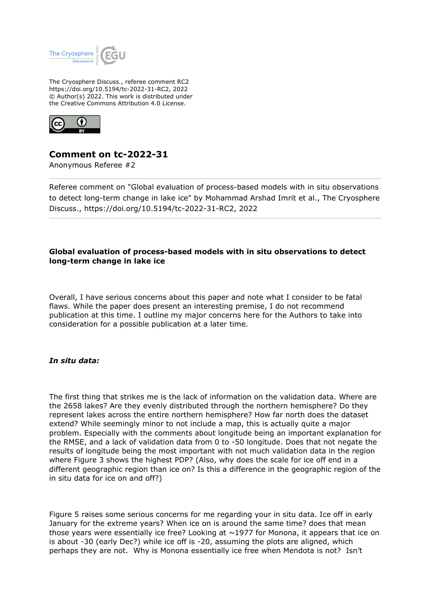

The Cryosphere Discuss., referee comment RC2 https://doi.org/10.5194/tc-2022-31-RC2, 2022 © Author(s) 2022. This work is distributed under the Creative Commons Attribution 4.0 License.



# **Comment on tc-2022-31**

Anonymous Referee #2

Referee comment on "Global evaluation of process-based models with in situ observations to detect long-term change in lake ice" by Mohammad Arshad Imrit et al., The Cryosphere Discuss., https://doi.org/10.5194/tc-2022-31-RC2, 2022

### **Global evaluation of process-based models with in situ observations to detect long-term change in lake ice**

Overall, I have serious concerns about this paper and note what I consider to be fatal flaws. While the paper does present an interesting premise, I do not recommend publication at this time. I outline my major concerns here for the Authors to take into consideration for a possible publication at a later time.

## *In situ data:*

The first thing that strikes me is the lack of information on the validation data. Where are the 2658 lakes? Are they evenly distributed through the northern hemisphere? Do they represent lakes across the entire northern hemisphere? How far north does the dataset extend? While seemingly minor to not include a map, this is actually quite a major problem. Especially with the comments about longitude being an important explanation for the RMSE, and a lack of validation data from 0 to -50 longitude. Does that not negate the results of longitude being the most important with not much validation data in the region where Figure 3 shows the highest PDP? (Also, why does the scale for ice off end in a different geographic region than ice on? Is this a difference in the geographic region of the in situ data for ice on and off?)

Figure 5 raises some serious concerns for me regarding your in situ data. Ice off in early January for the extreme years? When ice on is around the same time? does that mean those years were essentially ice free? Looking at  $\sim$ 1977 for Monona, it appears that ice on is about -30 (early Dec?) while ice off is -20, assuming the plots are aligned, which perhaps they are not. Why is Monona essentially ice free when Mendota is not? Isn't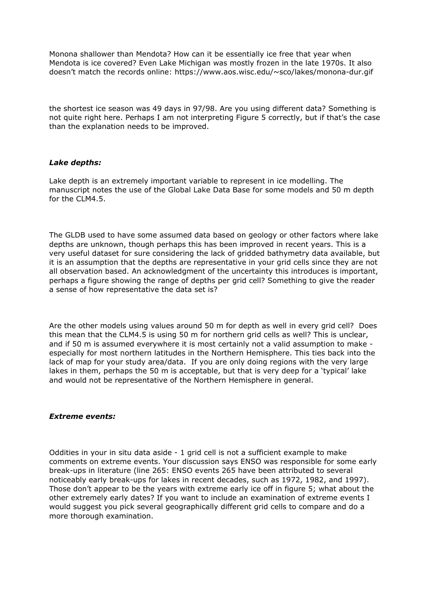Monona shallower than Mendota? How can it be essentially ice free that year when Mendota is ice covered? Even Lake Michigan was mostly frozen in the late 1970s. It also doesn't match the records online: https://www.aos.wisc.edu/~sco/lakes/monona-dur.gif

the shortest ice season was 49 days in 97/98. Are you using different data? Something is not quite right here. Perhaps I am not interpreting Figure 5 correctly, but if that's the case than the explanation needs to be improved.

#### *Lake depths:*

Lake depth is an extremely important variable to represent in ice modelling. The manuscript notes the use of the Global Lake Data Base for some models and 50 m depth for the CLM4.5.

The GLDB used to have some assumed data based on geology or other factors where lake depths are unknown, though perhaps this has been improved in recent years. This is a very useful dataset for sure considering the lack of gridded bathymetry data available, but it is an assumption that the depths are representative in your grid cells since they are not all observation based. An acknowledgment of the uncertainty this introduces is important, perhaps a figure showing the range of depths per grid cell? Something to give the reader a sense of how representative the data set is?

Are the other models using values around 50 m for depth as well in every grid cell? Does this mean that the CLM4.5 is using 50 m for northern grid cells as well? This is unclear, and if 50 m is assumed everywhere it is most certainly not a valid assumption to make especially for most northern latitudes in the Northern Hemisphere. This ties back into the lack of map for your study area/data. If you are only doing regions with the very large lakes in them, perhaps the 50 m is acceptable, but that is very deep for a 'typical' lake and would not be representative of the Northern Hemisphere in general.

#### *Extreme events:*

Oddities in your in situ data aside - 1 grid cell is not a sufficient example to make comments on extreme events. Your discussion says ENSO was responsible for some early break-ups in literature (line 265: ENSO events 265 have been attributed to several noticeably early break-ups for lakes in recent decades, such as 1972, 1982, and 1997). Those don't appear to be the years with extreme early ice off in figure 5; what about the other extremely early dates? If you want to include an examination of extreme events I would suggest you pick several geographically different grid cells to compare and do a more thorough examination.